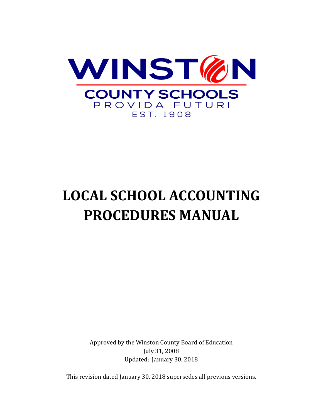

# **LOCAL SCHOOL ACCOUNTING PROCEDURES MANUAL**

Approved by the Winston County Board of Education July 31, 2008 Updated: January 30, 2018

This revision dated January 30, 2018 supersedes all previous versions.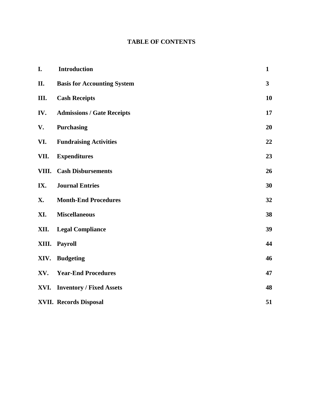# **TABLE OF CONTENTS**

| I.    | <b>Introduction</b>                | $\mathbf{1}$            |
|-------|------------------------------------|-------------------------|
| II.   | <b>Basis for Accounting System</b> | $\overline{\mathbf{3}}$ |
| Ш.    | <b>Cash Receipts</b>               | 10                      |
| IV.   | <b>Admissions / Gate Receipts</b>  | 17                      |
| V.    | Purchasing                         | 20                      |
| VI.   | <b>Fundraising Activities</b>      | 22                      |
| VII.  | <b>Expenditures</b>                | 23                      |
| VIII. | <b>Cash Disbursements</b>          | 26                      |
| IX.   | <b>Journal Entries</b>             | 30                      |
| Х.    | <b>Month-End Procedures</b>        | 32                      |
| XI.   | <b>Miscellaneous</b>               | 38                      |
| XII.  | <b>Legal Compliance</b>            | 39                      |
| XIII. | Payroll                            | 44                      |
| XIV.  | <b>Budgeting</b>                   | 46                      |
| XV.   | <b>Year-End Procedures</b>         | 47                      |
|       | XVI. Inventory / Fixed Assets      | 48                      |
|       | <b>XVII. Records Disposal</b>      | 51                      |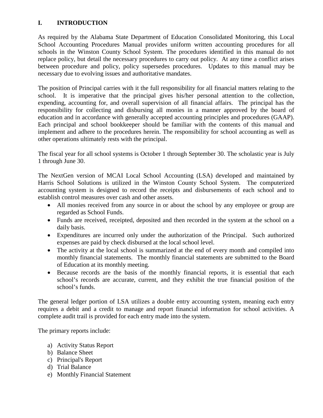# **I. INTRODUCTION**

As required by the Alabama State Department of Education Consolidated Monitoring, this Local School Accounting Procedures Manual provides uniform written accounting procedures for all schools in the Winston County School System. The procedures identified in this manual do not replace policy, but detail the necessary procedures to carry out policy. At any time a conflict arises between procedure and policy, policy supersedes procedures. Updates to this manual may be necessary due to evolving issues and authoritative mandates.

The position of Principal carries with it the full responsibility for all financial matters relating to the school. It is imperative that the principal gives his/her personal attention to the collection, expending, accounting for, and overall supervision of all financial affairs. The principal has the responsibility for collecting and disbursing all monies in a manner approved by the board of education and in accordance with generally accepted accounting principles and procedures (GAAP). Each principal and school bookkeeper should be familiar with the contents of this manual and implement and adhere to the procedures herein. The responsibility for school accounting as well as other operations ultimately rests with the principal.

The fiscal year for all school systems is October 1 through September 30. The scholastic year is July 1 through June 30.

The NextGen version of MCAI Local School Accounting (LSA) developed and maintained by Harris School Solutions is utilized in the Winston County School System. The computerized accounting system is designed to record the receipts and disbursements of each school and to establish control measures over cash and other assets.

- All monies received from any source in or about the school by any employee or group are regarded as School Funds.
- Funds are received, receipted, deposited and then recorded in the system at the school on a daily basis.
- Expenditures are incurred only under the authorization of the Principal. Such authorized expenses are paid by check disbursed at the local school level.
- The activity at the local school is summarized at the end of every month and compiled into monthly financial statements. The monthly financial statements are submitted to the Board of Education at its monthly meeting.
- Because records are the basis of the monthly financial reports, it is essential that each school's records are accurate, current, and they exhibit the true financial position of the school's funds.

The general ledger portion of LSA utilizes a double entry accounting system, meaning each entry requires a debit and a credit to manage and report financial information for school activities. A complete audit trail is provided for each entry made into the system.

The primary reports include:

- a) Activity Status Report
- b) Balance Sheet
- c) Principal's Report
- d) Trial Balance
- e) Monthly Financial Statement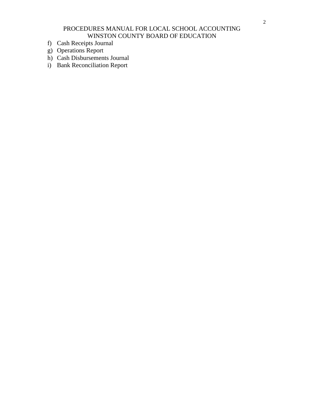- f) Cash Receipts Journal
- g) Operations Report
- h) Cash Disbursements Journal
- i) Bank Reconciliation Report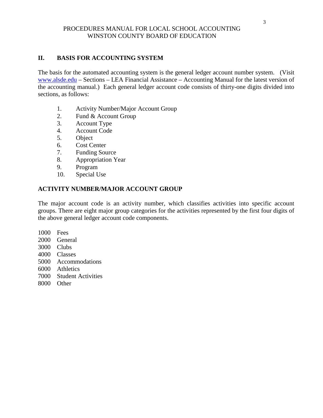# **II. BASIS FOR ACCOUNTING SYSTEM**

The basis for the automated accounting system is the general ledger account number system. (Visit [www.alsde.edu](http://www.alsde.edu/) – Sections – LEA Financial Assistance – Accounting Manual for the latest version of the accounting manual.) Each general ledger account code consists of thirty-one digits divided into sections, as follows:

- 1. Activity Number/Major Account Group
- 2. Fund & Account Group
- 3. Account Type
- 4. Account Code
- 5. Object
- 6. Cost Center
- 7. Funding Source
- 8. Appropriation Year
- 9. Program
- 10. Special Use

# **ACTIVITY NUMBER/MAJOR ACCOUNT GROUP**

The major account code is an activity number, which classifies activities into specific account groups. There are eight major group categories for the activities represented by the first four digits of the above general ledger account code components.

- 1000 Fees
- 2000 General
- 3000 Clubs
- 4000 Classes
- 5000 Accommodations
- 6000 Athletics
- 7000 Student Activities
- 8000 Other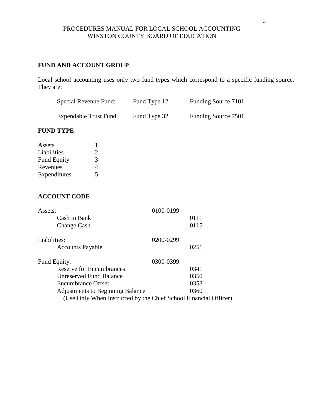# **FUND AND ACCOUNT GROUP**

Local school accounting uses only two fund types which correspond to a specific funding source. They are:

| Special Revenue Fund:        | Fund Type 12 | Funding Source 7101 |
|------------------------------|--------------|---------------------|
| <b>Expendable Trust Fund</b> | Fund Type 32 | Funding Source 7501 |

# **FUND TYPE**

| Assets             |                             |
|--------------------|-----------------------------|
| Liabilities        | $\mathcal{D}_{\mathcal{L}}$ |
| <b>Fund Equity</b> | 3                           |
| Revenues           | 4                           |
| Expenditures       | 5                           |

# **ACCOUNT CODE**

| Assets:                                                          | 0100-0199 |  |
|------------------------------------------------------------------|-----------|--|
| Cash in Bank                                                     | 0111      |  |
| Change Cash                                                      | 0115      |  |
| Liabilities:                                                     | 0200-0299 |  |
| <b>Accounts Payable</b>                                          | 0251      |  |
| Fund Equity:                                                     | 0300-0399 |  |
| Reserve for Encumbrances                                         | 0341      |  |
| <b>Unreserved Fund Balance</b>                                   | 0350      |  |
| <b>Encumbrance Offset</b>                                        | 0358      |  |
| <b>Adjustments to Beginning Balance</b>                          | 0360      |  |
| (Use Only When Instructed by the Chief School Financial Officer) |           |  |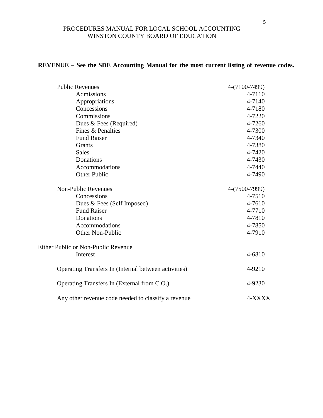# **REVENUE – See the SDE Accounting Manual for the most current listing of revenue codes.**

| <b>Public Revenues</b>                               | 4-(7100-7499) |
|------------------------------------------------------|---------------|
| Admissions                                           | 4-7110        |
| Appropriations                                       | 4-7140        |
| Concessions                                          | 4-7180        |
| Commissions                                          | 4-7220        |
| Dues & Fees (Required)                               | 4-7260        |
| Fines & Penalties                                    | 4-7300        |
| <b>Fund Raiser</b>                                   | 4-7340        |
| <b>Grants</b>                                        | 4-7380        |
| <b>Sales</b>                                         | 4-7420        |
| Donations                                            | 4-7430        |
| Accommodations                                       | 4-7440        |
| <b>Other Public</b>                                  | 4-7490        |
| <b>Non-Public Revenues</b>                           | 4-(7500-7999) |
| Concessions                                          | 4-7510        |
| Dues & Fees (Self Imposed)                           | 4-7610        |
| <b>Fund Raiser</b>                                   | 4-7710        |
| Donations                                            | 4-7810        |
| Accommodations                                       | 4-7850        |
| Other Non-Public                                     | 4-7910        |
| Either Public or Non-Public Revenue                  |               |
| Interest                                             | 4-6810        |
| Operating Transfers In (Internal between activities) | 4-9210        |
| Operating Transfers In (External from C.O.)          | 4-9230        |
| Any other revenue code needed to classify a revenue  | 4-XXXX        |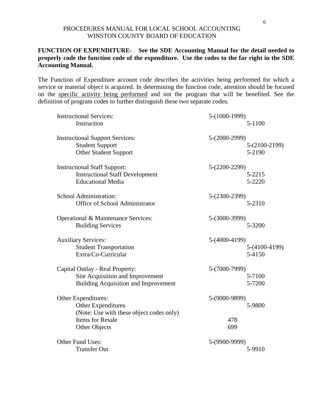# **FUNCTION OF EXPENDITURE-** . **See the SDE Accounting Manual for the detail needed to properly code the function code of the expenditure. Use the codes to the far right in the SDE Accounting Manual.**

The Function of Expenditure account code describes the activities being performed for which a service or material object is acquired. In determining the function code, attention should be focused on the specific activity being performed and not the program that will be benefited. See the definition of program codes to further distinguish these two separate codes.

| <b>Instructional Services:</b>                                                                                                                  | 5-(1000-1999)               |                           |
|-------------------------------------------------------------------------------------------------------------------------------------------------|-----------------------------|---------------------------|
| Instruction                                                                                                                                     |                             | 5-1100                    |
| <b>Instructional Support Services:</b><br><b>Student Support</b><br><b>Other Student Support</b>                                                | 5-(2000-2999)               | $5-(2100-2199)$<br>5-2190 |
| <b>Instructional Staff Support:</b><br><b>Instructional Staff Development</b><br><b>Educational Media</b>                                       | $5-(2200-2299)$             | 5-2215<br>5-2220          |
| School Administration:<br>Office of School Administrator                                                                                        | 5-(2300-2399)               | 5-2310                    |
| Operational & Maintenance Services:<br><b>Building Services</b>                                                                                 | 5-(3000-3999)               | 5-3200                    |
| <b>Auxiliary Services:</b><br><b>Student Transportation</b><br>Extra/Co-Curricular                                                              | 5-(4000-4199)               | 5-(4100-4199)<br>5-4150   |
| Capital Outlay - Real Property:<br>Site Acquisition and Improvement<br><b>Building Acquisition and Improvement</b>                              | 5-(7000-7999)               | 5-7100<br>5-7200          |
| Other Expenditures:<br><b>Other Expenditures</b><br>(Note: Use with these object codes only)<br><b>Items for Resale</b><br><b>Other Objects</b> | 5-(9000-9899)<br>478<br>699 | 5-9800                    |
| Other Fund Uses:<br><b>Transfer Out</b>                                                                                                         | 5-(9900-9999)               | 5-9910                    |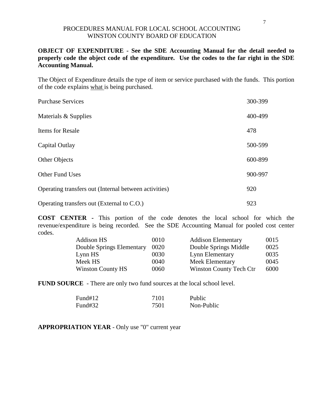# **OBJECT OF EXPENDITURE - See the SDE Accounting Manual for the detail needed to properly code the object code of the expenditure. Use the codes to the far right in the SDE Accounting Manual.**

The Object of Expenditure details the type of item or service purchased with the funds. This portion of the code explains what is being purchased.

| <b>Purchase Services</b>                              | 300-399 |
|-------------------------------------------------------|---------|
| Materials & Supplies                                  | 400-499 |
| <b>Items for Resale</b>                               | 478     |
| Capital Outlay                                        | 500-599 |
| <b>Other Objects</b>                                  | 600-899 |
| <b>Other Fund Uses</b>                                | 900-997 |
| Operating transfers out (Internal between activities) | 920     |
| Operating transfers out (External to C.O.)            | 923     |

**COST CENTER -** This portion of the code denotes the local school for which the revenue/expenditure is being recorded. See the SDE Accounting Manual for pooled cost center codes.

| Addison HS                | 0010 | <b>Addison Elementary</b> | 0015 |
|---------------------------|------|---------------------------|------|
| Double Springs Elementary | 0020 | Double Springs Middle     | 0025 |
| Lynn HS                   | 0030 | Lynn Elementary           | 0035 |
| Meek HS                   | 0040 | Meek Elementary           | 0045 |
| <b>Winston County HS</b>  | 0060 | Winston County Tech Ctr   | 6000 |

**FUND SOURCE** - There are only two fund sources at the local school level.

| Fund#12 | 7101 | Public     |
|---------|------|------------|
| Fund#32 | 7501 | Non-Public |

**APPROPRIATION YEAR** - Only use "0" current year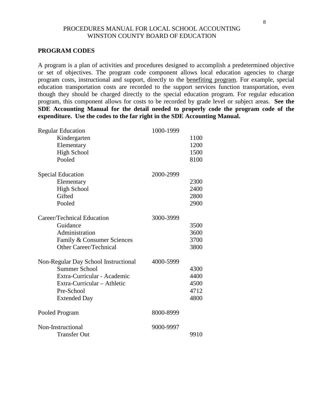#### **PROGRAM CODES**

A program is a plan of activities and procedures designed to accomplish a predetermined objective or set of objectives. The program code component allows local education agencies to charge program costs, instructional and support, directly to the benefiting program. For example, special education transportation costs are recorded to the support services function transportation, even though they should be charged directly to the special education program. For regular education program, this component allows for costs to be recorded by grade level or subject areas. **See the SDE Accounting Manual for the detail needed to properly code the program code of the expenditure. Use the codes to the far right in the SDE Accounting Manual.**

| <b>Regular Education</b>             | 1000-1999 |      |
|--------------------------------------|-----------|------|
| Kindergarten                         |           | 1100 |
| Elementary                           |           | 1200 |
| <b>High School</b>                   |           | 1500 |
| Pooled                               |           | 8100 |
| <b>Special Education</b>             | 2000-2999 |      |
| Elementary                           |           | 2300 |
| <b>High School</b>                   |           | 2400 |
| Gifted                               |           | 2800 |
| Pooled                               |           | 2900 |
| Career/Technical Education           | 3000-3999 |      |
| Guidance                             |           | 3500 |
| Administration                       |           | 3600 |
| Family & Consumer Sciences           |           | 3700 |
| <b>Other Career/Technical</b>        |           | 3800 |
| Non-Regular Day School Instructional | 4000-5999 |      |
| <b>Summer School</b>                 |           | 4300 |
| Extra-Curricular - Academic          |           | 4400 |
| Extra-Curricular - Athletic          |           | 4500 |
| Pre-School                           |           | 4712 |
| <b>Extended Day</b>                  |           | 4800 |
| Pooled Program                       | 8000-8999 |      |
| Non-Instructional                    | 9000-9997 |      |
| <b>Transfer Out</b>                  |           | 9910 |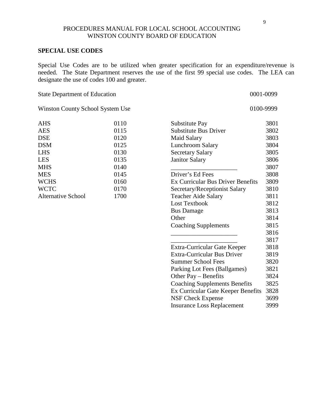#### **SPECIAL USE CODES**

Special Use Codes are to be utilized when greater specification for an expenditure/revenue is needed. The State Department reserves the use of the first 99 special use codes. The LEA can designate the use of codes 100 and greater.

| <b>State Department of Education</b> |      |                                      | 0001-0099 |
|--------------------------------------|------|--------------------------------------|-----------|
| Winston County School System Use     |      |                                      | 0100-9999 |
| <b>AHS</b>                           | 0110 | Substitute Pay                       | 3801      |
| <b>AES</b>                           | 0115 | <b>Substitute Bus Driver</b>         | 3802      |
| <b>DSE</b>                           | 0120 | <b>Maid Salary</b>                   | 3803      |
| <b>DSM</b>                           | 0125 | Lunchroom Salary                     | 3804      |
| <b>LHS</b>                           | 0130 | <b>Secretary Salary</b>              | 3805      |
| <b>LES</b>                           | 0135 | <b>Janitor Salary</b>                | 3806      |
| <b>MHS</b>                           | 0140 |                                      | 3807      |
| <b>MES</b>                           | 0145 | Driver's Ed Fees                     | 3808      |
| <b>WCHS</b>                          | 0160 | Ex Curricular Bus Driver Benefits    | 3809      |
| <b>WCTC</b>                          | 0170 | Secretary/Receptionist Salary        | 3810      |
| <b>Alternative School</b>            | 1700 | <b>Teacher Aide Salary</b>           | 3811      |
|                                      |      | <b>Lost Textbook</b>                 | 3812      |
|                                      |      | <b>Bus Damage</b>                    | 3813      |
|                                      |      | Other                                | 3814      |
|                                      |      | <b>Coaching Supplements</b>          | 3815      |
|                                      |      |                                      | 3816      |
|                                      |      |                                      | 3817      |
|                                      |      | Extra-Curricular Gate Keeper         | 3818      |
|                                      |      | <b>Extra-Curricular Bus Driver</b>   | 3819      |
|                                      |      | <b>Summer School Fees</b>            | 3820      |
|                                      |      | Parking Lot Fees (Ballgames)         | 3821      |
|                                      |      | Other Pay – Benefits                 | 3824      |
|                                      |      | <b>Coaching Supplements Benefits</b> | 3825      |
|                                      |      | Ex Curricular Gate Keeper Benefits   | 3828      |
|                                      |      | <b>NSF Check Expense</b>             | 3699      |

Insurance Loss Replacement 3999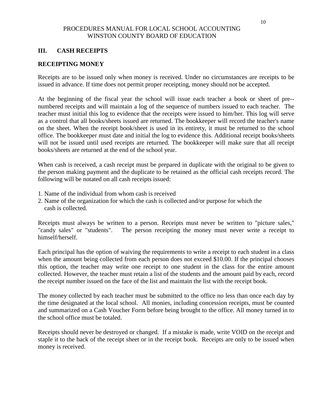# **III. CASH RECEIPTS**

# **RECEIPTING MONEY**

Receipts are to be issued only when money is received. Under no circumstances are receipts to be issued in advance. If time does not permit proper receipting, money should not be accepted.

At the beginning of the fiscal year the school will issue each teacher a book or sheet of pre- numbered receipts and will maintain a log of the sequence of numbers issued to each teacher. The teacher must initial this log to evidence that the receipts were issued to him/her. This log will serve as a control that all books/sheets issued are returned. The bookkeeper will record the teacher's name on the sheet. When the receipt book/sheet is used in its entirety, it must be returned to the school office. The bookkeeper must date and initial the log to evidence this. Additional receipt books/sheets will not be issued until used receipts are returned. The bookkeeper will make sure that all receipt books/sheets are returned at the end of the school year.

When cash is received, a cash receipt must be prepared in duplicate with the original to be given to the person making payment and the duplicate to be retained as the official cash receipts record. The following will be notated on all cash receipts issued:

- 1. Name of the individual from whom cash is received
- 2. Name of the organization for which the cash is collected and/or purpose for which the cash is collected.

Receipts must always be written to a person. Receipts must never be written to "picture sales," "candy sales" or "students". The person receipting the money must never write a receipt to himself/herself.

Each principal has the option of waiving the requirements to write a receipt to each student in a class when the amount being collected from each person does not exceed \$10.00. If the principal chooses this option, the teacher may write one receipt to one student in the class for the entire amount collected. However, the teacher must retain a list of the students and the amount paid by each, record the receipt number issued on the face of the list and maintain the list with the receipt book.

The money collected by each teacher must be submitted to the office no less than once each day by the time designated at the local school. All monies, including concession receipts, must be counted and summarized on a Cash Voucher Form before being brought to the office. All money turned in to the school office must be totaled.

Receipts should never be destroyed or changed. If a mistake is made, write VOID on the receipt and staple it to the back of the receipt sheet or in the receipt book. Receipts are only to be issued when money is received.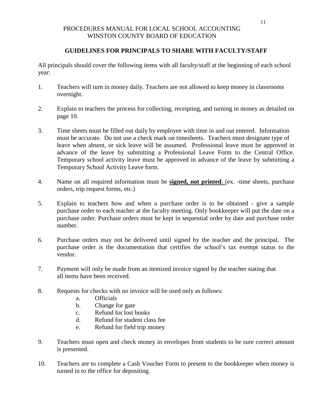# **GUIDELINES FOR PRINCIPALS TO SHARE WITH FACULTY/STAFF**

All principals should cover the following items with all faculty/staff at the beginning of each school year:

- 1. Teachers will turn in money daily. Teachers are not allowed to keep money in classrooms overnight.
- 2. Explain to teachers the process for collecting, receipting, and turning in money as detailed on page 10.
- 3. Time sheets must be filled out daily by employee with time in and out entered. Information must be accurate. Do not use a check mark on timesheets. Teachers must designate type of leave when absent, or sick leave will be assumed. Professional leave must be approved in advance of the leave by submitting a Professional Leave Form to the Central Office. Temporary school activity leave must be approved in advance of the leave by submitting a Temporary School Activity Leave form.
- 4. Name on all required information must be **signed, not printed**. (ex. -time sheets, purchase orders, trip request forms, etc.)
- 5. Explain to teachers how and when a purchase order is to be obtained give a sample purchase order to each teacher at the faculty meeting. Only bookkeeper will put the date on a purchase order. Purchase orders must be kept in sequential order by date and purchase order number.
- 6. Purchase orders may not be delivered until signed by the teacher and the principal. The purchase order is the documentation that certifies the school's tax exempt status to the vendor.
- 7. Payment will only be made from an itemized invoice signed by the teacher stating that all items have been received.
- 8. Requests for checks with no invoice will be used only as follows:
	- a. Officials
	- b. Change for gate
	- c. Refund for lost books
	- d. Refund for student class fee
	- e. Refund for field trip money
- 9. Teachers must open and check money in envelopes from students to be sure correct amount is presented.
- 10. Teachers are to complete a Cash Voucher Form to present to the bookkeeper when money is turned in to the office for depositing.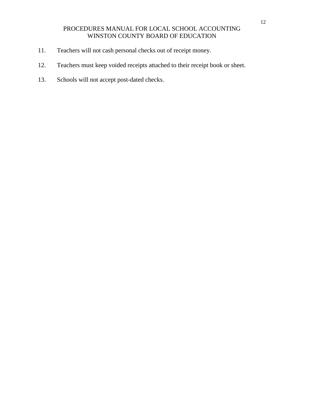- 11. Teachers will not cash personal checks out of receipt money.
- 12. Teachers must keep voided receipts attached to their receipt book or sheet.
- 13. Schools will not accept post-dated checks.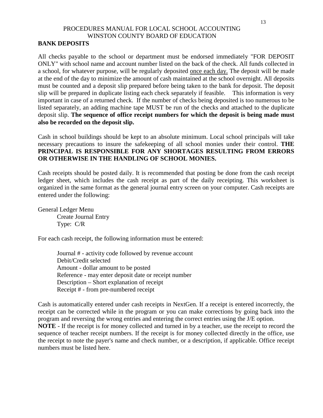# **BANK DEPOSITS**

All checks payable to the school or department must be endorsed immediately "FOR DEPOSIT ONLY" with school name and account number listed on the back of the check. All funds collected in a school, for whatever purpose, will be regularly deposited once each day. The deposit will be made at the end of the day to minimize the amount of cash maintained at the school overnight. All deposits must be counted and a deposit slip prepared before being taken to the bank for deposit. The deposit slip will be prepared in duplicate listing each check separately if feasible. This information is very important in case of a returned check. If the number of checks being deposited is too numerous to be listed separately, an adding machine tape MUST be run of the checks and attached to the duplicate deposit slip. **The sequence of office receipt numbers for which the deposit is being made must also be recorded on the deposit slip.**

Cash in school buildings should be kept to an absolute minimum. Local school principals will take necessary precautions to insure the safekeeping of all school monies under their control. **THE PRINCIPAL IS RESPONSIBLE FOR ANY SHORTAGES RESULTING FROM ERRORS OR OTHERWISE IN THE HANDLING OF SCHOOL MONIES.**

Cash receipts should be posted daily. It is recommended that posting be done from the cash receipt ledger sheet, which includes the cash receipt as part of the daily receipting. This worksheet is organized in the same format as the general journal entry screen on your computer. Cash receipts are entered under the following:

General Ledger Menu Create Journal Entry Type: C/R

For each cash receipt, the following information must be entered:

Journal # - activity code followed by revenue account Debit/Credit selected Amount - dollar amount to be posted Reference - may enter deposit date or receipt number Description – Short explanation of receipt Receipt # - from pre-numbered receipt

Cash is automatically entered under cash receipts in NextGen. If a receipt is entered incorrectly, the receipt can be corrected while in the program or you can make corrections by going back into the program and reversing the wrong entries and entering the correct entries using the J/E option.

**NOTE** - If the receipt is for money collected and turned in by a teacher, use the receipt to record the sequence of teacher receipt numbers. If the receipt is for money collected directly in the office, use the receipt to note the payer's name and check number, or a description, if applicable. Office receipt numbers must be listed here.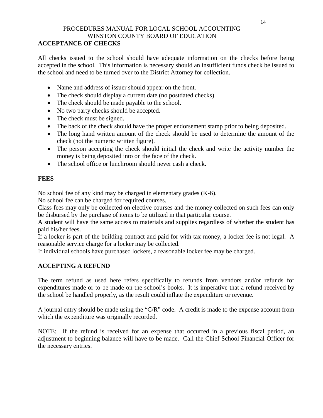# **ACCEPTANCE OF CHECKS**

All checks issued to the school should have adequate information on the checks before being accepted in the school. This information is necessary should an insufficient funds check be issued to the school and need to be turned over to the District Attorney for collection.

- Name and address of issuer should appear on the front.
- The check should display a current date (no postdated checks)
- The check should be made payable to the school.
- No two party checks should be accepted.
- The check must be signed.
- The back of the check should have the proper endorsement stamp prior to being deposited.
- The long hand written amount of the check should be used to determine the amount of the check (not the numeric written figure).
- The person accepting the check should initial the check and write the activity number the money is being deposited into on the face of the check.
- The school office or lunchroom should never cash a check.

# **FEES**

No school fee of any kind may be charged in elementary grades (K-6).

No school fee can be charged for required courses.

Class fees may only be collected on elective courses and the money collected on such fees can only be disbursed by the purchase of items to be utilized in that particular course.

A student will have the same access to materials and supplies regardless of whether the student has paid his/her fees.

If a locker is part of the building contract and paid for with tax money, a locker fee is not legal. A reasonable service charge for a locker may be collected.

If individual schools have purchased lockers, a reasonable locker fee may be charged.

# **ACCEPTING A REFUND**

The term refund as used here refers specifically to refunds from vendors and/or refunds for expenditures made or to be made on the school's books. It is imperative that a refund received by the school be handled properly, as the result could inflate the expenditure or revenue.

A journal entry should be made using the "C/R" code. A credit is made to the expense account from which the expenditure was originally recorded.

NOTE: If the refund is received for an expense that occurred in a previous fiscal period, an adjustment to beginning balance will have to be made. Call the Chief School Financial Officer for the necessary entries.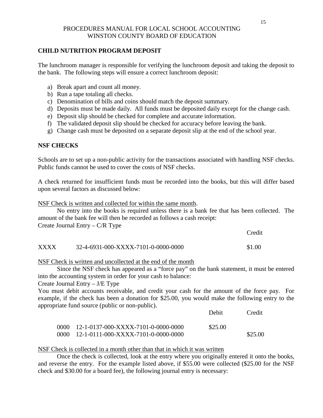# **CHILD NUTRITION PROGRAM DEPOSIT**

The lunchroom manager is responsible for verifying the lunchroom deposit and taking the deposit to the bank. The following steps will ensure a correct lunchroom deposit:

- a) Break apart and count all money.
- b) Run a tape totaling all checks.
- c) Denomination of bills and coins should match the deposit summary.
- d) Deposits must be made daily. All funds must be deposited daily except for the change cash.
- e) Deposit slip should be checked for complete and accurate information.
- f) The validated deposit slip should be checked for accuracy before leaving the bank.
- g) Change cash must be deposited on a separate deposit slip at the end of the school year.

# **NSF CHECKS**

Schools are to set up a non-public activity for the transactions associated with handling NSF checks. Public funds cannot be used to cover the costs of NSF checks.

A check returned for insufficient funds must be recorded into the books, but this will differ based upon several factors as discussed below:

NSF Check is written and collected for within the same month.

No entry into the books is required unless there is a bank fee that has been collected. The amount of the bank fee will then be recorded as follows a cash receipt: Create Journal Entry – C/R Type

Credit

# XXXX 32-4-6931-000-XXXX-7101-0-0000-0000 \$1.00

# NSF Check is written and uncollected at the end of the month

Since the NSF check has appeared as a "force pay" on the bank statement, it must be entered into the accounting system in order for your cash to balance:

Create Journal Entry – J/E Type

You must debit accounts receivable, and credit your cash for the amount of the force pay. For example, if the check has been a donation for \$25.00, you would make the following entry to the appropriate fund source (public or non-public).

|                                                              | Debit   | Credit  |
|--------------------------------------------------------------|---------|---------|
| $0000$ 12-1-0137-000-XXXX-7101-0-0000-0000                   | \$25.00 |         |
| $0000 - 12 - 1 - 0111 - 000 - XXXX - 7101 - 0 - 0000 - 0000$ |         | \$25.00 |

# NSF Check is collected in a month other than that in which it was written

Once the check is collected, look at the entry where you originally entered it onto the books, and reverse the entry. For the example listed above, if \$55.00 were collected (\$25.00 for the NSF check and \$30.00 for a board fee), the following journal entry is necessary: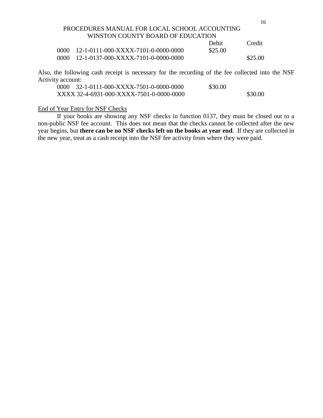|      |                                                                  | Debit   | Credit  |
|------|------------------------------------------------------------------|---------|---------|
|      | $0000 \quad 12 - 1 - 0111 - 000 - XXXX - 7101 - 0 - 0000 - 0000$ | \$25.00 |         |
| 0000 | 12-1-0137-000-XXXX-7101-0-0000-0000                              |         | \$25.00 |

Also, the following cash receipt is necessary for the recording of the fee collected into the NSF Activity account:

| 0000 32-1-0111-000-XXXX-7501-0-0000-0000 | \$30.00 |         |
|------------------------------------------|---------|---------|
| XXXX 32-4-6931-000-XXXX-7501-0-0000-0000 |         | \$30.00 |

#### End of Year Entry for NSF Checks

If your books are showing any NSF checks in function 0137, they must be closed out to a non-public NSF fee account. This does not mean that the checks cannot be collected after the new year begins, but **there can be no NSF checks left on the books at year end**. If they are collected in the new year, treat as a cash receipt into the NSF fee activity from where they were paid.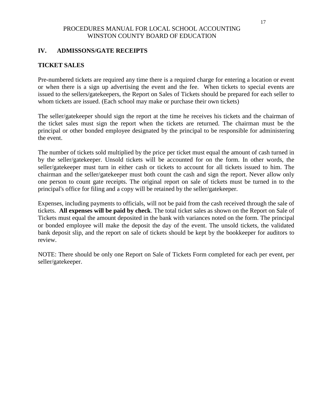## **IV. ADMISSONS/GATE RECEIPTS**

# **TICKET SALES**

Pre-numbered tickets are required any time there is a required charge for entering a location or event or when there is a sign up advertising the event and the fee. When tickets to special events are issued to the sellers/gatekeepers, the Report on Sales of Tickets should be prepared for each seller to whom tickets are issued. (Each school may make or purchase their own tickets)

The seller/gatekeeper should sign the report at the time he receives his tickets and the chairman of the ticket sales must sign the report when the tickets are returned. The chairman must be the principal or other bonded employee designated by the principal to be responsible for administering the event.

The number of tickets sold multiplied by the price per ticket must equal the amount of cash turned in by the seller/gatekeeper. Unsold tickets will be accounted for on the form. In other words, the seller/gatekeeper must turn in either cash or tickets to account for all tickets issued to him. The chairman and the seller/gatekeeper must both count the cash and sign the report. Never allow only one person to count gate receipts. The original report on sale of tickets must be turned in to the principal's office for filing and a copy will be retained by the seller/gatekeeper.

Expenses, including payments to officials, will not be paid from the cash received through the sale of tickets. **All expenses will be paid by check**. The total ticket sales as shown on the Report on Sale of Tickets must equal the amount deposited in the bank with variances noted on the form. The principal or bonded employee will make the deposit the day of the event. The unsold tickets, the validated bank deposit slip, and the report on sale of tickets should be kept by the bookkeeper for auditors to review.

NOTE: There should be only one Report on Sale of Tickets Form completed for each per event, per seller/gatekeeper.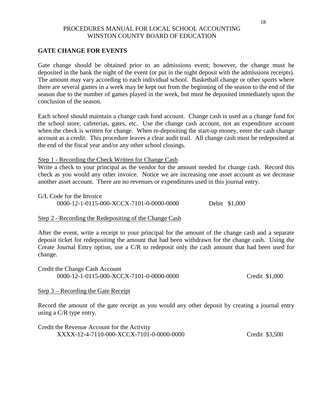#### **GATE CHANGE FOR EVENTS**

Gate change should be obtained prior to an admissions event; however, the change must be deposited in the bank the night of the event (or put in the night deposit with the admissions receipts). The amount may vary according to each individual school. Basketball change or other sports where there are several games in a week may be kept out from the beginning of the season to the end of the season due to the number of games played in the week, but must be deposited immediately upon the conclusion of the season.

Each school should maintain a change cash fund account. Change cash is used as a change fund for the school store, cafeterias, gates, etc. Use the change cash account, not an expenditure account when the check is written for change. When re-depositing the start-up money, enter the cash change account as a credit. This procedure leaves a clear audit trail. All change cash must be redeposited at the end of the fiscal year and/or any other school closings.

#### Step 1 - Recording the Check Written for Change Cash

Write a check to your principal as the vendor for the amount needed for change cash. Record this check as you would any other invoice. Notice we are increasing one asset account as we decrease another asset account. There are no revenues or expenditures used in this journal entry.

G/L Code for the Invoice 0000-12-1-0115-000-XCCX-7101-0-0000-0000 Debit \$1,000

#### Step 2 - Recording the Redepositing of the Change Cash

After the event, write a receipt to your principal for the amount of the change cash and a separate deposit ticket for redepositing the amount that had been withdrawn for the change cash. Using the Create Journal Entry option, use a C/R to redeposit only the cash amount that had been used for change.

Credit the Change Cash Account 0000-12-1-0115-000-XCCX-7101-0-0000-0000 Credit \$1,000

#### Step 3 – Recording the Gate Receipt

Record the amount of the gate receipt as you would any other deposit by creating a journal entry using a C/R type entry.

Credit the Revenue Account for the Activity XXXX-12-4-7110-000-XCCX-7101-0-0000-0000 Credit \$3,500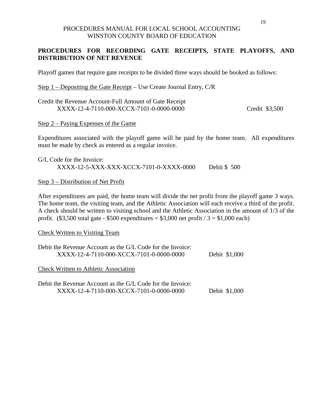# **PROCEDURES FOR RECORDING GATE RECEIPTS, STATE PLAYOFFS, AND DISTRIBUTION OF NET REVENUE**

Playoff games that require gate receipts to be divided three ways should be booked as follows:

Step 1 – Depositing the Gate Receipt – Use Create Journal Entry, C/R

| Credit the Revenue Account-Full Amount of Gate Receipt |                |
|--------------------------------------------------------|----------------|
| XXXX-12-4-7110-000-XCCX-7101-0-0000-0000               | Credit \$3,500 |

Step 2 – Paying Expenses of the Game

Expenditures associated with the playoff game will be paid by the home team. All expenditures must be made by check as entered as a regular invoice.

G/L Code for the Invoice: XXXX-12-5-XXX-XXX-XCCX-7101-0-XXXX-0000 Debit \$ 500

#### Step 3 – Distribution of Net Profit

After expenditures are paid, the home team will divide the net profit from the playoff game 3 ways. The home team, the visiting team, and the Athletic Association will each receive a third of the profit. A check should be written to visiting school and the Athletic Association in the amount of 1/3 of the profit.  $(\$3,500$  total gate - \$500 expenditures = \$3,000 net profit / 3 = \$1,000 each)

#### Check Written to Visiting Team

| Debit the Revenue Account as the G/L Code for the Invoice:<br>XXXX-12-4-7110-000-XCCX-7101-0-0000-0000 | Debit \$1,000 |
|--------------------------------------------------------------------------------------------------------|---------------|
| <b>Check Written to Athletic Association</b>                                                           |               |
| Debit the Revenue Account as the G/L Code for the Invoice:<br>XXXX-12-4-7110-000-XCCX-7101-0-0000-0000 | Debit \$1,000 |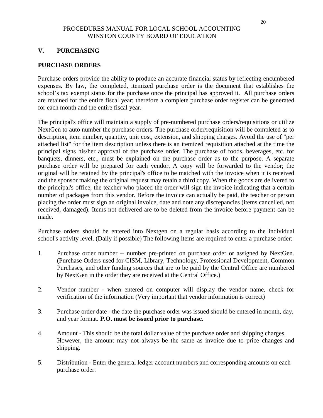# **V. PURCHASING**

# **PURCHASE ORDERS**

Purchase orders provide the ability to produce an accurate financial status by reflecting encumbered expenses. By law, the completed, itemized purchase order is the document that establishes the school's tax exempt status for the purchase once the principal has approved it. All purchase orders are retained for the entire fiscal year; therefore a complete purchase order register can be generated for each month and the entire fiscal year.

The principal's office will maintain a supply of pre-numbered purchase orders/requisitions or utilize NextGen to auto number the purchase orders. The purchase order/requisition will be completed as to description, item number, quantity, unit cost, extension, and shipping charges. Avoid the use of "per attached list" for the item description unless there is an itemized requisition attached at the time the principal signs his/her approval of the purchase order. The purchase of foods, beverages, etc. for banquets, dinners, etc., must be explained on the purchase order as to the purpose. A separate purchase order will be prepared for each vendor. A copy will be forwarded to the vendor; the original will be retained by the principal's office to be matched with the invoice when it is received and the sponsor making the original request may retain a third copy. When the goods are delivered to the principal's office, the teacher who placed the order will sign the invoice indicating that a certain number of packages from this vendor. Before the invoice can actually be paid, the teacher or person placing the order must sign an original invoice, date and note any discrepancies (items cancelled, not received, damaged). Items not delivered are to be deleted from the invoice before payment can be made.

Purchase orders should be entered into Nextgen on a regular basis according to the individual school's activity level. (Daily if possible) The following items are required to enter a purchase order:

- 1. Purchase order number -- number pre-printed on purchase order or assigned by NextGen. (Purchase Orders used for CISM, Library, Technology, Professional Development, Common Purchases, and other funding sources that are to be paid by the Central Office are numbered by NextGen in the order they are received at the Central Office.)
- 2. Vendor number when entered on computer will display the vendor name, check for verification of the information (Very important that vendor information is correct)
- 3. Purchase order date the date the purchase order was issued should be entered in month, day, and year format. **P.O. must be issued prior to purchase**.
- 4. Amount This should be the total dollar value of the purchase order and shipping charges. However, the amount may not always be the same as invoice due to price changes and shipping.
- 5. Distribution Enter the general ledger account numbers and corresponding amounts on each purchase order.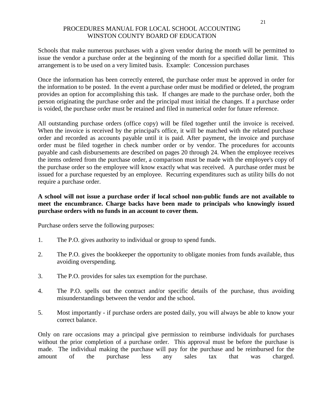Schools that make numerous purchases with a given vendor during the month will be permitted to issue the vendor a purchase order at the beginning of the month for a specified dollar limit. This arrangement is to be used on a very limited basis. Example: Concession purchases

Once the information has been correctly entered, the purchase order must be approved in order for the information to be posted. In the event a purchase order must be modified or deleted, the program provides an option for accomplishing this task. If changes are made to the purchase order, both the person originating the purchase order and the principal must initial the changes. If a purchase order is voided, the purchase order must be retained and filed in numerical order for future reference.

All outstanding purchase orders (office copy) will be filed together until the invoice is received. When the invoice is received by the principal's office, it will be matched with the related purchase order and recorded as accounts payable until it is paid. After payment, the invoice and purchase order must be filed together in check number order or by vendor. The procedures for accounts payable and cash disbursements are described on pages 20 through 24. When the employee receives the items ordered from the purchase order, a comparison must be made with the employee's copy of the purchase order so the employee will know exactly what was received. A purchase order must be issued for a purchase requested by an employee. Recurring expenditures such as utility bills do not require a purchase order.

# **A school will not issue a purchase order if local school non-public funds are not available to meet the encumbrance. Charge backs have been made to principals who knowingly issued purchase orders with no funds in an account to cover them.**

Purchase orders serve the following purposes:

- 1. The P.O. gives authority to individual or group to spend funds.
- 2. The P.O. gives the bookkeeper the opportunity to obligate monies from funds available, thus avoiding overspending.
- 3. The P.O. provides for sales tax exemption for the purchase.
- 4. The P.O. spells out the contract and/or specific details of the purchase, thus avoiding misunderstandings between the vendor and the school.
- 5. Most importantly if purchase orders are posted daily, you will always be able to know your correct balance.

Only on rare occasions may a principal give permission to reimburse individuals for purchases without the prior completion of a purchase order. This approval must be before the purchase is made. The individual making the purchase will pay for the purchase and be reimbursed for the amount of the purchase less any sales tax that was charged.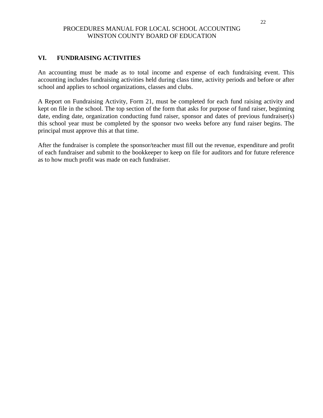# **VI. FUNDRAISING ACTIVITIES**

An accounting must be made as to total income and expense of each fundraising event. This accounting includes fundraising activities held during class time, activity periods and before or after school and applies to school organizations, classes and clubs.

A Report on Fundraising Activity, Form 21, must be completed for each fund raising activity and kept on file in the school. The top section of the form that asks for purpose of fund raiser, beginning date, ending date, organization conducting fund raiser, sponsor and dates of previous fundraiser(s) this school year must be completed by the sponsor two weeks before any fund raiser begins. The principal must approve this at that time.

After the fundraiser is complete the sponsor/teacher must fill out the revenue, expenditure and profit of each fundraiser and submit to the bookkeeper to keep on file for auditors and for future reference as to how much profit was made on each fundraiser.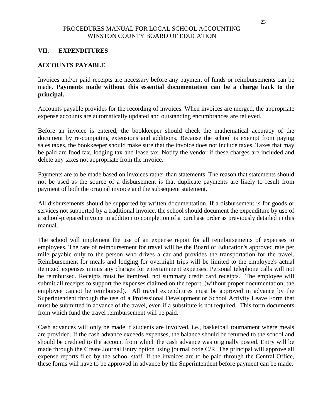## **VII. EXPENDITURES**

## **ACCOUNTS PAYABLE**

Invoices and/or paid receipts are necessary before any payment of funds or reimbursements can be made. **Payments made without this essential documentation can be a charge back to the principal.**

Accounts payable provides for the recording of invoices. When invoices are merged, the appropriate expense accounts are automatically updated and outstanding encumbrances are relieved.

Before an invoice is entered, the bookkeeper should check the mathematical accuracy of the document by re-computing extensions and additions. Because the school is exempt from paying sales taxes, the bookkeeper should make sure that the invoice does not include taxes. Taxes that may be paid are food tax, lodging tax and lease tax. Notify the vendor if these charges are included and delete any taxes not appropriate from the invoice.

Payments are to be made based on invoices rather than statements. The reason that statements should not be used as the source of a disbursement is that duplicate payments are likely to result from payment of both the original invoice and the subsequent statement.

All disbursements should be supported by written documentation. If a disbursement is for goods or services not supported by a traditional invoice, the school should document the expenditure by use of a school-prepared invoice in addition to completion of a purchase order as previously detailed in this manual.

The school will implement the use of an expense report for all reimbursements of expenses to employees. The rate of reimbursement for travel will be the Board of Education's approved rate per mile payable only to the person who drives a car and provides the transportation for the travel. Reimbursement for meals and lodging for overnight trips will be limited to the employee's actual itemized expenses minus any charges for entertainment expenses. Personal telephone calls will not be reimbursed. Receipts must be itemized, not summary credit card receipts. The employee will submit all receipts to support the expenses claimed on the report, (without proper documentation, the employee cannot be reimbursed). All travel expenditures must be approved in advance by the Superintendent through the use of a Professional Development or School Activity Leave Form that must be submitted in advance of the travel, even if a substitute is not required. This form documents from which fund the travel reimbursement will be paid.

Cash advances will only be made if students are involved, i.e., basketball tournament where meals are provided. If the cash advance exceeds expenses, the balance should be returned to the school and should be credited to the account from which the cash advance was originally posted. Entry will be made through the Create Journal Entry option using journal code C/R. The principal will approve all expense reports filed by the school staff. If the invoices are to be paid through the Central Office, these forms will have to be approved in advance by the Superintendent before payment can be made.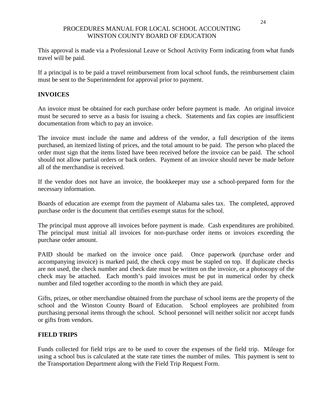This approval is made via a Professional Leave or School Activity Form indicating from what funds travel will be paid.

If a principal is to be paid a travel reimbursement from local school funds, the reimbursement claim must be sent to the Superintendent for approval prior to payment.

# **INVOICES**

An invoice must be obtained for each purchase order before payment is made. An original invoice must be secured to serve as a basis for issuing a check. Statements and fax copies are insufficient documentation from which to pay an invoice.

The invoice must include the name and address of the vendor, a full description of the items purchased, an itemized listing of prices, and the total amount to be paid. The person who placed the order must sign that the items listed have been received before the invoice can be paid. The school should not allow partial orders or back orders. Payment of an invoice should never be made before all of the merchandise is received.

If the vendor does not have an invoice, the bookkeeper may use a school-prepared form for the necessary information.

Boards of education are exempt from the payment of Alabama sales tax. The completed, approved purchase order is the document that certifies exempt status for the school.

The principal must approve all invoices before payment is made. Cash expenditures are prohibited. The principal must initial all invoices for non-purchase order items or invoices exceeding the purchase order amount.

PAID should be marked on the invoice once paid. Once paperwork (purchase order and accompanying invoice) is marked paid, the check copy must be stapled on top. If duplicate checks are not used, the check number and check date must be written on the invoice, or a photocopy of the check may be attached. Each month's paid invoices must be put in numerical order by check number and filed together according to the month in which they are paid.

Gifts, prizes, or other merchandise obtained from the purchase of school items are the property of the school and the Winston County Board of Education. School employees are prohibited from purchasing personal items through the school. School personnel will neither solicit nor accept funds or gifts from vendors.

# **FIELD TRIPS**

Funds collected for field trips are to be used to cover the expenses of the field trip. Mileage for using a school bus is calculated at the state rate times the number of miles. This payment is sent to the Transportation Department along with the Field Trip Request Form.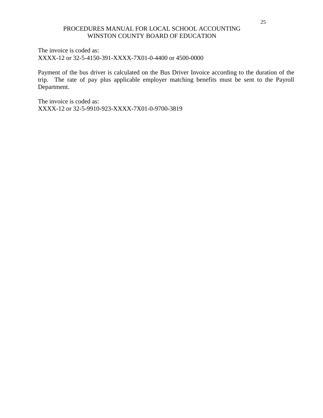The invoice is coded as: XXXX-12 or 32-5-4150-391-XXXX-7X01-0-4400 or 4500-0000

Payment of the bus driver is calculated on the Bus Driver Invoice according to the duration of the trip. The rate of pay plus applicable employer matching benefits must be sent to the Payroll Department.

The invoice is coded as: XXXX-12 or 32-5-9910-923-XXXX-7X01-0-9700-3819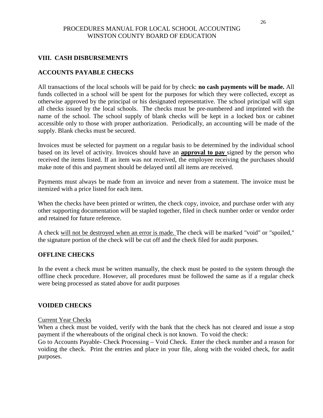# **VIII. CASH DISBURSEMENTS**

## **ACCOUNTS PAYABLE CHECKS**

All transactions of the local schools will be paid for by check: **no cash payments will be made.** All funds collected in a school will be spent for the purposes for which they were collected, except as otherwise approved by the principal or his designated representative. The school principal will sign all checks issued by the local schools. The checks must be pre-numbered and imprinted with the name of the school. The school supply of blank checks will be kept in a locked box or cabinet accessible only to those with proper authorization. Periodically, an accounting will be made of the supply. Blank checks must be secured.

Invoices must be selected for payment on a regular basis to be determined by the individual school based on its level of activity. Invoices should have an **approval to pay** signed by the person who received the items listed. If an item was not received, the employee receiving the purchases should make note of this and payment should be delayed until all items are received.

Payments must always be made from an invoice and never from a statement. The invoice must be itemized with a price listed for each item.

When the checks have been printed or written, the check copy, invoice, and purchase order with any other supporting documentation will be stapled together, filed in check number order or vendor order and retained for future reference.

A check will not be destroyed when an error is made. The check will be marked "void" or "spoiled," the signature portion of the check will be cut off and the check filed for audit purposes.

#### **OFFLINE CHECKS**

In the event a check must be written manually, the check must be posted to the system through the offline check procedure. However, all procedures must be followed the same as if a regular check were being processed as stated above for audit purposes

#### **VOIDED CHECKS**

#### Current Year Checks

When a check must be voided, verify with the bank that the check has not cleared and issue a stop payment if the whereabouts of the original check is not known. To void the check:

Go to Accounts Payable- Check Processing – Void Check. Enter the check number and a reason for voiding the check. Print the entries and place in your file, along with the voided check, for audit purposes.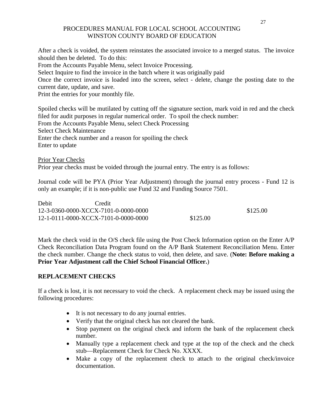After a check is voided, the system reinstates the associated invoice to a merged status. The invoice should then be deleted. To do this: From the Accounts Payable Menu, select Invoice Processing. Select Inquire to find the invoice in the batch where it was originally paid Once the correct invoice is loaded into the screen, select - delete, change the posting date to the current date, update, and save. Print the entries for your monthly file. Spoiled checks will be mutilated by cutting off the signature section, mark void in red and the check

filed for audit purposes in regular numerical order. To spoil the check number: From the Accounts Payable Menu, select Check Processing Select Check Maintenance Enter the check number and a reason for spoiling the check Enter to update

Prior Year Checks Prior year checks must be voided through the journal entry. The entry is as follows:

Journal code will be PYA (Prior Year Adjustment) through the journal entry process - Fund 12 is only an example; if it is non-public use Fund 32 and Funding Source 7501.

| Debit                                | Credit |          |
|--------------------------------------|--------|----------|
| 12-3-0360-0000-XCCX-7101-0-0000-0000 |        | \$125.00 |
| 12-1-0111-0000-XCCX-7101-0-0000-0000 |        | \$125.00 |

Mark the check void in the O/S check file using the Post Check Information option on the Enter A/P Check Reconciliation Data Program found on the A/P Bank Statement Reconciliation Menu. Enter the check number. Change the check status to void, then delete, and save. (**Note: Before making a Prior Year Adjustment call the Chief School Financial Officer.**)

# **REPLACEMENT CHECKS**

If a check is lost, it is not necessary to void the check. A replacement check may be issued using the following procedures:

- It is not necessary to do any journal entries.
- Verify that the original check has not cleared the bank.
- Stop payment on the original check and inform the bank of the replacement check number.
- Manually type a replacement check and type at the top of the check and the check stub—Replacement Check for Check No. XXXX.
- Make a copy of the replacement check to attach to the original check/invoice documentation.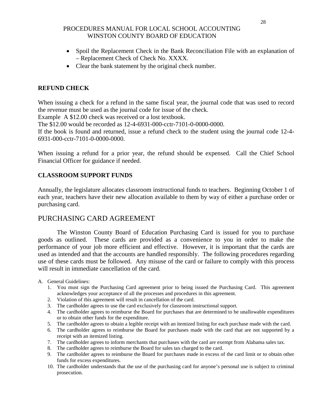- Spoil the Replacement Check in the Bank Reconciliation File with an explanation of – Replacement Check of Check No. XXXX.
- Clear the bank statement by the original check number.

# **REFUND CHECK**

When issuing a check for a refund in the same fiscal year, the journal code that was used to record the revenue must be used as the journal code for issue of the check.

Example A \$12.00 check was received or a lost textbook.

The \$12.00 would be recorded as 12-4-6931-000-cctr-7101-0-0000-0000.

If the book is found and returned, issue a refund check to the student using the journal code 12-4- 6931-000-cctr-7101-0-0000-0000.

When issuing a refund for a prior year, the refund should be expensed. Call the Chief School Financial Officer for guidance if needed.

# **CLASSROOM SUPPORT FUNDS**

Annually, the legislature allocates classroom instructional funds to teachers. Beginning October 1 of each year, teachers have their new allocation available to them by way of either a purchase order or purchasing card.

# PURCHASING CARD AGREEMENT

The Winston County Board of Education Purchasing Card is issued for you to purchase goods as outlined. These cards are provided as a convenience to you in order to make the performance of your job more efficient and effective. However, it is important that the cards are used as intended and that the accounts are handled responsibly. The following procedures regarding use of these cards must be followed. Any misuse of the card or failure to comply with this process will result in immediate cancellation of the card.

A. General Guidelines:

- 1. You must sign the Purchasing Card agreement prior to being issued the Purchasing Card. This agreement acknowledges your acceptance of all the processes and procedures in this agreement.
- 2. Violation of this agreement will result in cancellation of the card.
- 3. The cardholder agrees to use the card exclusively for classroom instructional support.
- 4. The cardholder agrees to reimburse the Board for purchases that are determined to be unallowable expenditures or to obtain other funds for the expenditure.
- 5. The cardholder agrees to obtain a legible receipt with an itemized listing for each purchase made with the card.
- 6. The cardholder agrees to reimburse the Board for purchases made with the card that are not supported by a receipt with an itemized listing.
- 7. The cardholder agrees to inform merchants that purchases with the card are exempt from Alabama sales tax.
- 8. The cardholder agrees to reimburse the Board for sales tax charged to the card.
- 9. The cardholder agrees to reimburse the Board for purchases made in excess of the card limit or to obtain other funds for excess expenditures.
- 10. The cardholder understands that the use of the purchasing card for anyone's personal use is subject to criminal prosecution.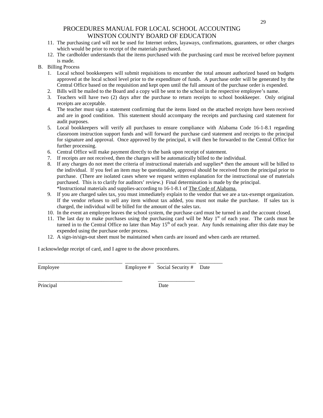- 11. The purchasing card will not be used for Internet orders, layaways, confirmations, guarantees, or other charges which would be prior to receipt of the materials purchased.
- 12. The cardholder understands that the items purchased with the purchasing card must be received before payment is made.
- B. Billing Process
	- 1. Local school bookkeepers will submit requisitions to encumber the total amount authorized based on budgets approved at the local school level prior to the expenditure of funds. A purchase order will be generated by the Central Office based on the requisition and kept open until the full amount of the purchase order is expended.
	- 2. Bills will be mailed to the Board and a copy will be sent to the school in the respective employee's name.
	- 3. Teachers will have two (2) days after the purchase to return receipts to school bookkeeper. Only original receipts are acceptable.
	- 4. The teacher must sign a statement confirming that the items listed on the attached receipts have been received and are in good condition. This statement should accompany the receipts and purchasing card statement for audit purposes.
	- 5. Local bookkeepers will verify all purchases to ensure compliance with Alabama Code 16-1-8.1 regarding classroom instruction support funds and will forward the purchase card statement and receipts to the principal for signature and approval. Once approved by the principal, it will then be forwarded to the Central Office for further processing.
	- 6. Central Office will make payment directly to the bank upon receipt of statement.
	- 7. If receipts are not received, then the charges will be automatically billed to the individual.
	- 8. If any charges do not meet the criteria of instructional materials and supplies\* then the amount will be billed to the individual. If you feel an item may be questionable, approval should be received from the principal prior to purchase. (There are isolated cases where we request written explanation for the instructional use of materials purchased. This is to clarify for auditors' review.) Final determination is made by the principal. \*Instructional materials and supplies-according to 16-1-8.1 of The Code of Alabama.
	- 9. If you are charged sales tax, you must immediately explain to the vendor that we are a tax-exempt organization. If the vendor refuses to sell any item without tax added, you must not make the purchase. If sales tax is charged, the individual will be billed for the amount of the sales tax.
	- 10. In the event an employee leaves the school system, the purchase card must be turned in and the account closed.
	- 11. The last day to make purchases using the purchasing card will be May  $1<sup>st</sup>$  of each year. The cards must be turned in to the Central Office no later than May  $15<sup>th</sup>$  of each year. Any funds remaining after this date may be expended using the purchase order process.
	- 12. A sign-in/sign-out sheet must be maintained when cards are issued and when cards are returned.

I acknowledge receipt of card, and I agree to the above procedures.

\_\_\_\_\_\_\_\_\_\_\_\_\_\_\_\_\_\_\_\_\_\_\_\_\_\_\_\_\_\_\_\_ \_\_\_\_\_\_\_\_\_\_\_ \_\_\_\_\_\_\_\_\_\_\_\_\_\_\_ \_\_\_\_\_\_\_\_\_ Employee Employee # Social Security # Date

\_\_\_\_\_\_\_\_\_\_\_\_\_\_\_\_\_\_\_\_\_\_\_\_\_\_\_\_\_\_\_\_ \_\_\_\_\_\_\_\_\_\_\_\_\_\_ Principal Date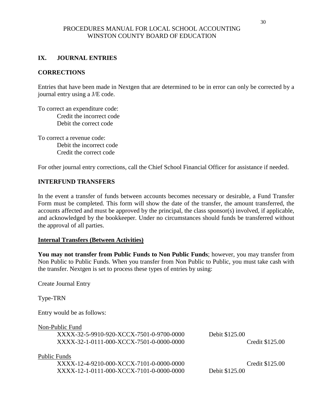# **IX. JOURNAL ENTRIES**

#### **CORRECTIONS**

Entries that have been made in Nextgen that are determined to be in error can only be corrected by a journal entry using a J/E code.

To correct an expenditure code: Credit the incorrect code Debit the correct code

To correct a revenue code: Debit the incorrect code Credit the correct code

For other journal entry corrections, call the Chief School Financial Officer for assistance if needed.

#### **INTERFUND TRANSFERS**

In the event a transfer of funds between accounts becomes necessary or desirable, a Fund Transfer Form must be completed. This form will show the date of the transfer, the amount transferred, the accounts affected and must be approved by the principal, the class sponsor(s) involved, if applicable, and acknowledged by the bookkeeper. Under no circumstances should funds be transferred without the approval of all parties.

#### **Internal Transfers (Between Activities)**

**You may not transfer from Public Funds to Non Public Funds**; however, you may transfer from Non Public to Public Funds. When you transfer from Non Public to Public, you must take cash with the transfer. Nextgen is set to process these types of entries by using:

Create Journal Entry

Type-TRN

Entry would be as follows:

Non-Public Fund

XXXX-32-5-9910-920-XCCX-7501-0-9700-0000 Debit \$125.00 XXXX-32-1-0111-000-XCCX-7501-0-0000-0000 Credit \$125.00

Public Funds

 XXXX-12-4-9210-000-XCCX-7101-0-0000-0000 Credit \$125.00 XXXX-12-1-0111-000-XCCX-7101-0-0000-0000 Debit \$125.00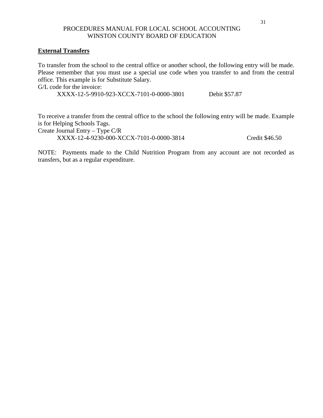# **External Transfers**

To transfer from the school to the central office or another school, the following entry will be made. Please remember that you must use a special use code when you transfer to and from the central office. This example is for Substitute Salary.

G/L code for the invoice:

XXXX-12-5-9910-923-XCCX-7101-0-0000-3801 Debit \$57.87

To receive a transfer from the central office to the school the following entry will be made. Example is for Helping Schools Tags.

Create Journal Entry – Type C/R XXXX-12-4-9230-000-XCCX-7101-0-0000-3814 Credit \$46.50

NOTE: Payments made to the Child Nutrition Program from any account are not recorded as transfers, but as a regular expenditure.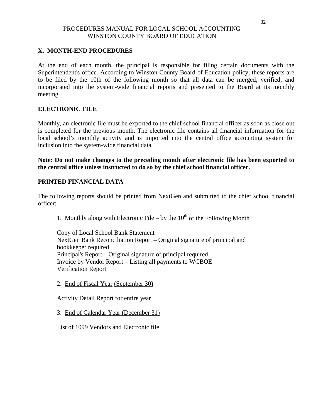# **X. MONTH-END PROCEDURES**

At the end of each month, the principal is responsible for filing certain documents with the Superintendent's office. According to Winston County Board of Education policy, these reports are to be filed by the 10th of the following month so that all data can be merged, verified, and incorporated into the system-wide financial reports and presented to the Board at its monthly meeting.

# **ELECTRONIC FILE**

Monthly, an electronic file must be exported to the chief school financial officer as soon as close out is completed for the previous month. The electronic file contains all financial information for the local school's monthly activity and is imported into the central office accounting system for inclusion into the system-wide financial data.

**Note: Do not make changes to the preceding month after electronic file has been exported to the central office unless instructed to do so by the chief school financial officer.**

# **PRINTED FINANCIAL DATA**

The following reports should be printed from NextGen and submitted to the chief school financial officer:

1. Monthly along with Electronic File – by the  $10<sup>th</sup>$  of the Following Month

Copy of Local School Bank Statement NextGen Bank Reconciliation Report – Original signature of principal and bookkeeper required Principal's Report – Original signature of principal required Invoice by Vendor Report – Listing all payments to WCBOE Verification Report

2. End of Fiscal Year (September 30)

Activity Detail Report for entire year

3. End of Calendar Year (December 31)

List of 1099 Vendors and Electronic file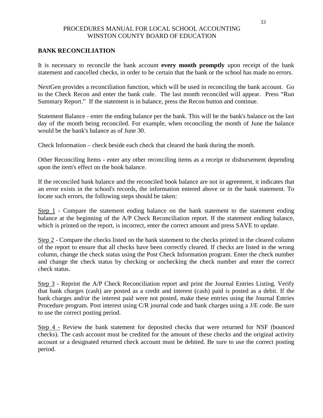# **BANK RECONCILIATION**

It is necessary to reconcile the bank account **every month promptly** upon receipt of the bank statement and cancelled checks, in order to be certain that the bank or the school has made no errors.

NextGen provides a reconciliation function, which will be used in reconciling the bank account. Go to the Check Recon and enter the bank code. The last month reconciled will appear. Press "Run Summary Report." If the statement is in balance, press the Recon button and continue.

Statement Balance - enter the ending balance per the bank. This will be the bank's balance on the last day of the month being reconciled. For example, when reconciling the month of June the balance would be the bank's balance as of June 30.

Check Information – check beside each check that cleared the bank during the month.

Other Reconciling Items - enter any other reconciling items as a receipt or disbursement depending upon the item's effect on the book balance.

If the reconciled bank balance and the reconciled book balance are not in agreement, it indicates that an error exists in the school's records, the information entered above or in the bank statement. To locate such errors, the following steps should be taken:

Step 1 - Compare the statement ending balance on the bank statement to the statement ending balance at the beginning of the A/P Check Reconciliation report. If the statement ending balance, which is printed on the report, is incorrect, enter the correct amount and press SAVE to update.

Step 2 - Compare the checks listed on the bank statement to the checks printed in the cleared column of the report to ensure that all checks have been correctly cleared. If checks are listed in the wrong column, change the check status using the Post Check Information program. Enter the check number and change the check status by checking or unchecking the check number and enter the correct check status.

Step 3 - Reprint the A/P Check Reconciliation report and print the Journal Entries Listing. Verify that bank charges (cash) are posted as a credit and interest (cash) paid is posted as a debit. If the bank charges and/or the interest paid were not posted, make these entries using the Journal Entries Procedure program. Post interest using C/R journal code and bank charges using a J/E code. Be sure to use the correct posting period.

Step 4 - Review the bank statement for deposited checks that were returned for NSF (bounced checks). The cash account must be credited for the amount of these checks and the original activity account or a designated returned check account must be debited. Be sure to use the correct posting period.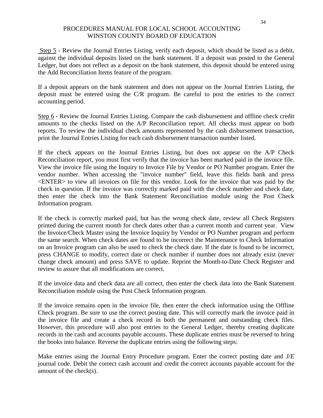Step 5 - Review the Journal Entries Listing, verify each deposit, which should be listed as a debit, against the individual deposits listed on the bank statement. If a deposit was posted to the General Ledger, but does not reflect as a deposit on the bank statement, this deposit should be entered using the Add Reconciliation Items feature of the program.

If a deposit appears on the bank statement and does not appear on the Journal Entries Listing, the deposit must be entered using the C/R program. Be careful to post the entries to the correct accounting period.

Step 6 - Review the Journal Entries Listing. Compare the cash disbursement and offline check credit amounts to the checks listed on the A/P Reconciliation report. All checks must appear on both reports. To review the individual check amounts represented by the cash disbursement transaction, print the Journal Entries Listing for each cash disbursement transaction number listed.

If the check appears on the Journal Entries Listing, but does not appear on the A/P Check Reconciliation report, you must first verify that the invoice has been marked paid in the invoice file. View the invoice file using the Inquiry to Invoice File by Vendor or PO Number program. Enter the vendor number. When accessing the "invoice number" field, leave this fields bank and press <ENTER> to view all invoices on file for this vendor. Look for the invoice that was paid by the check in question. If the invoice was correctly marked paid with the check number and check date, then enter the check into the Bank Statement Reconciliation module using the Post Check Information program.

If the check is correctly marked paid, but has the wrong check date, review all Check Registers printed during the current month for check dates other than a current month and current year. View the Invoice/Check Master using the Invoice Inquiry by Vendor or PO Number program and perform the same search. When check dates are found to be incorrect the Maintenance to Check Information on an Invoice program can also be used to check the check date. If the date is found to be incorrect, press CHANGE to modify, correct date or check number if number does not already exist (never change check amount) and press SAVE to update. Reprint the Month-to-Date Check Register and review to assure that all modifications are correct.

If the invoice data and check data are all correct, then enter the check data into the Bank Statement Reconciliation module using the Post Check Information program.

If the invoice remains open in the invoice file, then enter the check information using the Offline Check program. Be sure to use the correct posting date. This will correctly mark the invoice paid in the invoice file and create a check record in both the permanent and outstanding check files. However, this procedure will also post entries to the General Ledger, thereby creating duplicate records in the cash and accounts payable accounts. These duplicate entries must be reversed to bring the books into balance. Reverse the duplicate entries using the following steps:

Make entries using the Journal Entry Procedure program. Enter the correct posting date and *J/E*  journal code. Debit the correct cash account and credit the correct accounts payable account for the amount of the check(s).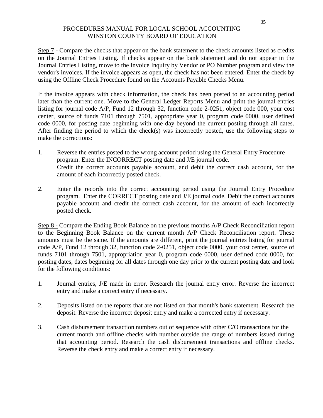Step 7 - Compare the checks that appear on the bank statement to the check amounts listed as credits on the Journal Entries Listing. If checks appear on the bank statement and do not appear in the Journal Entries Listing, move to the Invoice Inquiry by Vendor or PO Number program and view the vendor's invoices. If the invoice appears as open, the check has not been entered. Enter the check by using the Offline Check Procedure found on the Accounts Payable Checks Menu.

If the invoice appears with check information, the check has been posted to an accounting period later than the current one. Move to the General Ledger Reports Menu and print the journal entries listing for journal code A/P, Fund 12 through 32, function code 2-0251, object code 000, your cost center, source of funds 7101 through 7501, appropriate year 0, program code 0000, user defined code 0000, for posting date beginning with one day beyond the current posting through all dates. After finding the period to which the check(s) was incorrectly posted, use the following steps to make the corrections:

- 1. Reverse the entries posted to the wrong account period using the General Entry Procedure program. Enter the INCORRECT posting date and J/E journal code. Credit the correct accounts payable account, and debit the correct cash account, for the amount of each incorrectly posted check.
- 2. Enter the records into the correct accounting period using the Journal Entry Procedure program. Enter the CORRECT posting date and J/E journal code. Debit the correct accounts payable account and credit the correct cash account, for the amount of each incorrectly posted check.

Step 8 - Compare the Ending Book Balance on the previous months A/P Check Reconciliation report to the Beginning Book Balance on the current month A/P Check Reconciliation report. These amounts must be the same. If the amounts are different, print the journal entries listing for journal code A/P, Fund 12 through 32, function code 2-0251, object code 0000, your cost center, source of funds 7101 through 7501, appropriation year 0, program code 0000, user defined code 0000, for posting dates, dates beginning for all dates through one day prior to the current posting date and look for the following conditions:

- 1. Journal entries, J/E made in error. Research the journal entry error. Reverse the incorrect entry and make a correct entry if necessary.
- 2. Deposits listed on the reports that are not listed on that month's bank statement. Research the deposit. Reverse the incorrect deposit entry and make a corrected entry if necessary.
- 3. Cash disbursement transaction numbers out of sequence with other C/O transactions for the current month and offline checks with number outside the range of numbers issued during that accounting period. Research the cash disbursement transactions and offline checks. Reverse the check entry and make a correct entry if necessary.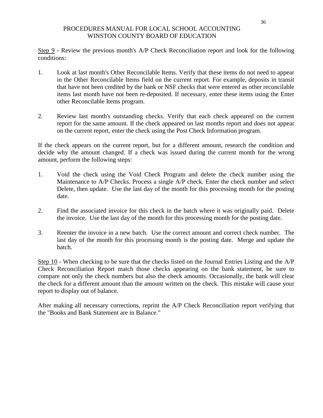Step 9 - Review the previous month's A/P Check Reconciliation report and look for the following conditions:

- 1. Look at last month's Other Reconcilable Items. Verify that these items do not need to appear in the Other Reconcilable Items field on the current report. For example, deposits in transit that have not been credited by the bank or NSF checks that were entered as other reconcilable items last month have not been re-deposited. If necessary, enter these items using the Enter other Reconcilable Items program.
- 2. Review last month's outstanding checks. Verify that each check appeared on the current report for the same amount. If the check appeared on last months report and does not appear on the current report, enter the check using the Post Check Information program.

If the check appears on the current report, but for a different amount, research the condition and decide why the amount changed. If a check was issued during the current month for the wrong amount, perform the following steps:

- 1. Void the check using the Void Check Program and delete the check number using the Maintenance to A/P Checks. Process a single A/P check. Enter the check number and select Delete, then update. Use the last day of the month for this processing month for the posting date.
- 2. Find the associated invoice for this check in the batch where it was originally paid. Delete the invoice. Use the last day of the month for this processing month for the posting date.
- 3. Reenter the invoice in a new batch. Use the correct amount and correct check number. The last day of the month for this processing month is the posting date. Merge and update the batch.

Step 10 - When checking to be sure that the checks listed on the Journal Entries Listing and the A/P Check Reconciliation Report match those checks appearing on the bank statement, be sure to compare not only the check numbers but also the check amounts. Occasionally, the bank will clear the check for a different amount than the amount written on the check. This mistake will cause your report to display out of balance.

After making all necessary corrections, reprint the A/P Check Reconciliation report verifying that the "Books and Bank Statement are in Balance."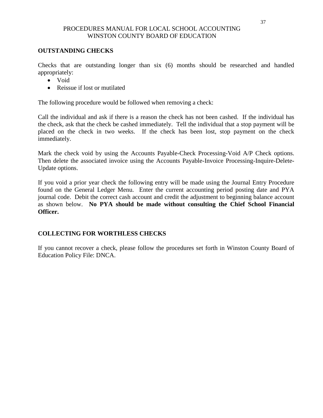# **OUTSTANDING CHECKS**

Checks that are outstanding longer than six (6) months should be researched and handled appropriately:

- Void
- Reissue if lost or mutilated

The following procedure would be followed when removing a check:

Call the individual and ask if there is a reason the check has not been cashed. If the individual has the check, ask that the check be cashed immediately. Tell the individual that a stop payment will be placed on the check in two weeks. If the check has been lost, stop payment on the check immediately.

Mark the check void by using the Accounts Payable-Check Processing-Void A/P Check options. Then delete the associated invoice using the Accounts Payable-Invoice Processing-Inquire-Delete-Update options.

If you void a prior year check the following entry will be made using the Journal Entry Procedure found on the General Ledger Menu. Enter the current accounting period posting date and PYA journal code. Debit the correct cash account and credit the adjustment to beginning balance account as shown below. **No PYA should be made without consulting the Chief School Financial Officer.**

# **COLLECTING FOR WORTHLESS CHECKS**

If you cannot recover a check, please follow the procedures set forth in Winston County Board of Education Policy File: DNCA.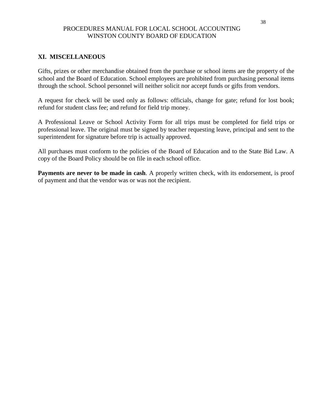# **XI. MISCELLANEOUS**

Gifts, prizes or other merchandise obtained from the purchase or school items are the property of the school and the Board of Education. School employees are prohibited from purchasing personal items through the school. School personnel will neither solicit nor accept funds or gifts from vendors.

A request for check will be used only as follows: officials, change for gate; refund for lost book; refund for student class fee; and refund for field trip money.

A Professional Leave or School Activity Form for all trips must be completed for field trips or professional leave. The original must be signed by teacher requesting leave, principal and sent to the superintendent for signature before trip is actually approved.

All purchases must conform to the policies of the Board of Education and to the State Bid Law. A copy of the Board Policy should be on file in each school office.

**Payments are never to be made in cash**. A properly written check, with its endorsement, is proof of payment and that the vendor was or was not the recipient.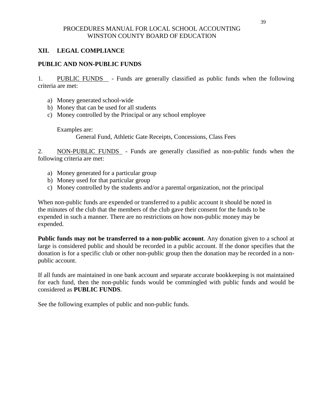# **XII. LEGAL COMPLIANCE**

# **PUBLIC AND NON-PUBLIC FUNDS**

1. PUBLIC FUNDS - Funds are generally classified as public funds when the following criteria are met:

- a) Money generated school-wide
- b) Money that can be used for all students
- c) Money controlled by the Principal or any school employee

Examples are:

General Fund, Athletic Gate Receipts, Concessions, Class Fees

2. NON-PUBLIC FUNDS - Funds are generally classified as non-public funds when the following criteria are met:

- a) Money generated for a particular group
- b) Money used for that particular group
- c) Money controlled by the students and/or a parental organization, not the principal

When non-public funds are expended or transferred to a public account it should be noted in the minutes of the club that the members of the club gave their consent for the funds to be expended in such a manner. There are no restrictions on how non-public money may be expended.

**Public funds may not be transferred to a non-public account**. Any donation given to a school at large is considered public and should be recorded in a public account. If the donor specifies that the donation is for a specific club or other non-public group then the donation may be recorded in a nonpublic account.

If all funds are maintained in one bank account and separate accurate bookkeeping is not maintained for each fund, then the non-public funds would be commingled with public funds and would be considered as **PUBLIC FUNDS**.

See the following examples of public and non-public funds.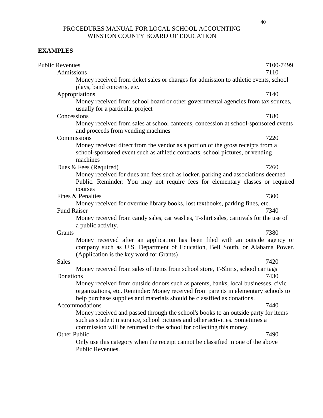# **EXAMPLES**

| <b>Public Revenues</b>                                                                                                                                                                                                                              | 7100-7499 |
|-----------------------------------------------------------------------------------------------------------------------------------------------------------------------------------------------------------------------------------------------------|-----------|
| Admissions                                                                                                                                                                                                                                          | 7110      |
| Money received from ticket sales or charges for admission to athletic events, school<br>plays, band concerts, etc.                                                                                                                                  |           |
| Appropriations                                                                                                                                                                                                                                      | 7140      |
| Money received from school board or other governmental agencies from tax sources,<br>usually for a particular project                                                                                                                               |           |
| Concessions                                                                                                                                                                                                                                         | 7180      |
| Money received from sales at school canteens, concession at school-sponsored events<br>and proceeds from vending machines                                                                                                                           |           |
| Commissions                                                                                                                                                                                                                                         | 7220      |
| Money received direct from the vendor as a portion of the gross receipts from a<br>school-sponsored event such as athletic contracts, school pictures, or vending<br>machines                                                                       |           |
| Dues & Fees (Required)                                                                                                                                                                                                                              | 7260      |
| Money received for dues and fees such as locker, parking and associations deemed<br>Public. Reminder: You may not require fees for elementary classes or required                                                                                   |           |
| courses                                                                                                                                                                                                                                             |           |
| Fines & Penalties                                                                                                                                                                                                                                   | 7300      |
| Money received for overdue library books, lost textbooks, parking fines, etc.                                                                                                                                                                       |           |
| <b>Fund Raiser</b><br>Money received from candy sales, car washes, T-shirt sales, carnivals for the use of<br>a public activity.                                                                                                                    | 7340      |
| Grants                                                                                                                                                                                                                                              | 7380      |
| Money received after an application has been filed with an outside agency or<br>company such as U.S. Department of Education, Bell South, or Alabama Power.<br>(Application is the key word for Grants)                                             |           |
| Sales                                                                                                                                                                                                                                               | 7420      |
| Money received from sales of items from school store, T-Shirts, school car tags<br>Donations                                                                                                                                                        | 7430      |
| Money received from outside donors such as parents, banks, local businesses, civic<br>organizations, etc. Reminder: Money received from parents in elementary schools to<br>help purchase supplies and materials should be classified as donations. |           |
| Accommodations                                                                                                                                                                                                                                      | 7440      |
| Money received and passed through the school's books to an outside party for items<br>such as student insurance, school pictures and other activities. Sometimes a<br>commission will be returned to the school for collecting this money.          |           |
| Other Public                                                                                                                                                                                                                                        | 7490      |
| Only use this category when the receipt cannot be classified in one of the above<br>Public Revenues.                                                                                                                                                |           |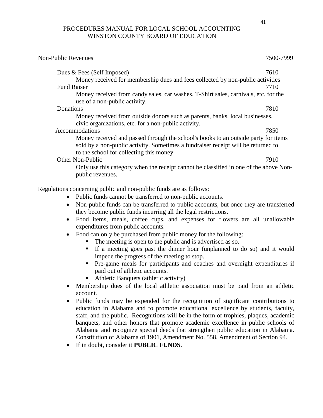# Non-Public Revenues 7500-7999 Dues & Fees (Self Imposed) 7610 Money received for membership dues and fees collected by non-public activities Fund Raiser 7710 Money received from candy sales, car washes, T-Shirt sales, carnivals, etc. for the use of a non-public activity. Donations 7810 Money received from outside donors such as parents, banks, local businesses, civic organizations, etc. for a non-public activity. Accommodations 7850 Money received and passed through the school's books to an outside party for items sold by a non-public activity. Sometimes a fundraiser receipt will be returned to to the school for collecting this money. Other Non-Public 7910 Only use this category when the receipt cannot be classified in one of the above Nonpublic revenues. Regulations concerning public and non-public funds are as follows: • Public funds cannot be transferred to non-public accounts.

- Non-public funds can be transferred to public accounts, but once they are transferred they become public funds incurring all the legal restrictions.
- Food items, meals, coffee cups, and expenses for flowers are all unallowable expenditures from public accounts.
- Food can only be purchased from public money for the following:
	- The meeting is open to the public and is advertised as so.
	- If a meeting goes past the dinner hour (unplanned to do so) and it would impede the progress of the meeting to stop.
	- Pre-game meals for participants and coaches and overnight expenditures if paid out of athletic accounts.
	- Athletic Banquets (athletic activity)
- Membership dues of the local athletic association must be paid from an athletic account.
- Public funds may be expended for the recognition of significant contributions to education in Alabama and to promote educational excellence by students, faculty, staff, and the public. Recognitions will be in the form of trophies, plaques, academic banquets, and other honors that promote academic excellence in public schools of Alabama and recognize special deeds that strengthen public education in Alabama. Constitution of Alabama of 1901, Amendment No. 558, Amendment of Section 94.
- If in doubt, consider it **PUBLIC FUNDS**.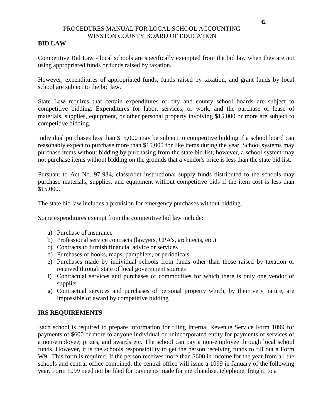# **BID LAW**

Competitive Bid Law - local schools are specifically exempted from the bid law when they are not using appropriated funds or funds raised by taxation.

However, expenditures of appropriated funds, funds raised by taxation, and grant funds by local school are subject to the bid law.

State Law requires that certain expenditures of city and county school boards are subject to competitive bidding. Expenditures for labor, services, or work, and the purchase or lease of materials, supplies, equipment, or other personal property involving \$15,000 or more are subject to competitive bidding.

Individual purchases less than \$15,000 may be subject to competitive bidding if a school board can reasonably expect to purchase more than \$15,000 for like items during the year. School systems may purchase items without bidding by purchasing from the state bid list; however, a school system may not purchase items without bidding on the grounds that a vendor's price is less than the state bid list.

Pursuant to Act No. 97-934, classroom instructional supply funds distributed to the schools may purchase materials, supplies, and equipment without competitive bids if the item cost is less than \$15,000.

The state bid law includes a provision for emergency purchases without bidding.

Some expenditures exempt from the competitive bid law include:

- a) Purchase of insurance
- b) Professional service contracts (lawyers, CPA's, architects, etc.)
- c) Contracts to furnish financial advice or services
- d) Purchases of books, maps, pamphlets, or periodicals
- e) Purchases made by individual schools from funds other than those raised by taxation or received through state of local government sources
- f) Contractual services and purchases of commodities for which there is only one vendor or supplier
- g) Contractual services and purchases of personal property which, by their very nature, are impossible of award by competitive bidding

# **IRS REQUIREMENTS**

Each school is required to prepare information for filing Internal Revenue Service Form 1099 for payments of \$600 or more to anyone individual or unincorporated entity for payments of services of a non-employee, prizes, and awards etc. The school can pay a non-employee through local school funds. However, it is the schools responsibility to get the person receiving funds to fill out a Form W9. This form is required. If the person receives more than \$600 in income for the year from all the schools and central office combined, the central office will issue a 1099 in January of the following year. Form 1099 need not be filed for payments made for merchandise, telephone, freight, to a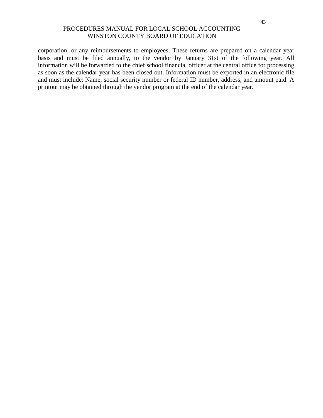corporation, or any reimbursements to employees. These returns are prepared on a calendar year basis and must be filed annually, to the vendor by January 31st of the following year. All information will be forwarded to the chief school financial officer at the central office for processing as soon as the calendar year has been closed out. Information must be exported in an electronic file and must include: Name, social security number or federal ID number, address, and amount paid. A printout may be obtained through the vendor program at the end of the calendar year.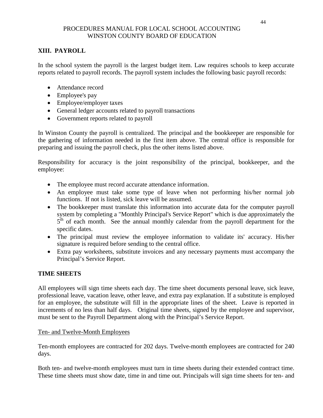# **XIII. PAYROLL**

In the school system the payroll is the largest budget item. Law requires schools to keep accurate reports related to payroll records. The payroll system includes the following basic payroll records:

- Attendance record
- Employee's pay
- Employee/employer taxes
- General ledger accounts related to payroll transactions
- Government reports related to payroll

In Winston County the payroll is centralized. The principal and the bookkeeper are responsible for the gathering of information needed in the first item above. The central office is responsible for preparing and issuing the payroll check, plus the other items listed above.

Responsibility for accuracy is the joint responsibility of the principal, bookkeeper, and the employee:

- The employee must record accurate attendance information.
- An employee must take some type of leave when not performing his/her normal job functions. If not is listed, sick leave will be assumed.
- The bookkeeper must translate this information into accurate data for the computer payroll system by completing a "Monthly Principal's Service Report" which is due approximately the 5<sup>th</sup> of each month. See the annual monthly calendar from the payroll department for the specific dates.
- The principal must review the employee information to validate its' accuracy. His/her signature is required before sending to the central office.
- Extra pay worksheets, substitute invoices and any necessary payments must accompany the Principal's Service Report.

# **TIME SHEETS**

All employees will sign time sheets each day. The time sheet documents personal leave, sick leave, professional leave, vacation leave, other leave, and extra pay explanation. If a substitute is employed for an employee, the substitute will fill in the appropriate lines of the sheet. Leave is reported in increments of no less than half days. Original time sheets, signed by the employee and supervisor, must be sent to the Payroll Department along with the Principal's Service Report.

# Ten- and Twelve-Month Employees

Ten-month employees are contracted for 202 days. Twelve-month employees are contracted for 240 days.

Both ten- and twelve-month employees must turn in time sheets during their extended contract time. These time sheets must show date, time in and time out. Principals will sign time sheets for ten- and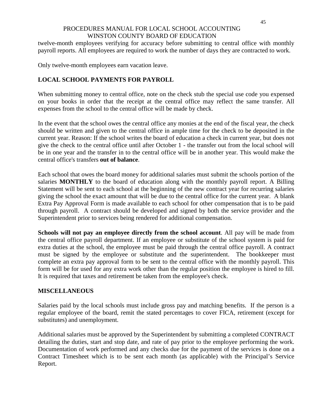twelve-month employees verifying for accuracy before submitting to central office with monthly payroll reports. All employees are required to work the number of days they are contracted to work.

Only twelve-month employees earn vacation leave.

# **LOCAL SCHOOL PAYMENTS FOR PAYROLL**

When submitting money to central office, note on the check stub the special use code you expensed on your books in order that the receipt at the central office may reflect the same transfer. All expenses from the school to the central office will be made by check.

In the event that the school owes the central office any monies at the end of the fiscal year, the check should be written and given to the central office in ample time for the check to be deposited in the current year. Reason: If the school writes the board of education a check in current year, but does not give the check to the central office until after October 1 - the transfer out from the local school will be in one year and the transfer in to the central office will be in another year. This would make the central office's transfers **out of balance**.

Each school that owes the board money for additional salaries must submit the schools portion of the salaries **MONTHLY** to the board of education along with the monthly payroll report. A Billing Statement will be sent to each school at the beginning of the new contract year for recurring salaries giving the school the exact amount that will be due to the central office for the current year. A blank Extra Pay Approval Form is made available to each school for other compensation that is to be paid through payroll. A contract should be developed and signed by both the service provider and the Superintendent prior to services being rendered for additional compensation.

**Schools will not pay an employee directly from the school account**. All pay will be made from the central office payroll department. If an employee or substitute of the school system is paid for extra duties at the school, the employee must be paid through the central office payroll. A contract must be signed by the employee or substitute and the superintendent. The bookkeeper must complete an extra pay approval form to be sent to the central office with the monthly payroll. This form will be for used for any extra work other than the regular position the employee is hired to fill. It is required that taxes and retirement be taken from the employee's check.

# **MISCELLANEOUS**

Salaries paid by the local schools must include gross pay and matching benefits. If the person is a regular employee of the board, remit the stated percentages to cover FICA, retirement (except for substitutes) and unemployment.

Additional salaries must be approved by the Superintendent by submitting a completed CONTRACT detailing the duties, start and stop date, and rate of pay prior to the employee performing the work. Documentation of work performed and any checks due for the payment of the services is done on a Contract Timesheet which is to be sent each month (as applicable) with the Principal's Service Report.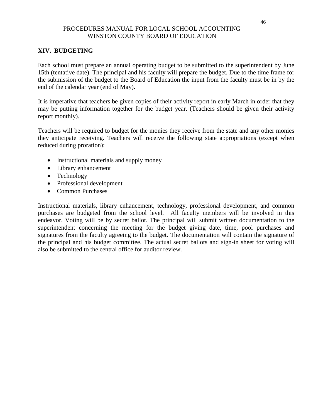# **XIV. BUDGETING**

Each school must prepare an annual operating budget to be submitted to the superintendent by June 15th (tentative date). The principal and his faculty will prepare the budget. Due to the time frame for the submission of the budget to the Board of Education the input from the faculty must be in by the end of the calendar year (end of May).

It is imperative that teachers be given copies of their activity report in early March in order that they may be putting information together for the budget year. (Teachers should be given their activity report monthly).

Teachers will be required to budget for the monies they receive from the state and any other monies they anticipate receiving. Teachers will receive the following state appropriations (except when reduced during proration):

- Instructional materials and supply money
- Library enhancement
- Technology
- Professional development
- Common Purchases

Instructional materials, library enhancement, technology, professional development, and common purchases are budgeted from the school level. All faculty members will be involved in this endeavor. Voting will be by secret ballot. The principal will submit written documentation to the superintendent concerning the meeting for the budget giving date, time, pool purchases and signatures from the faculty agreeing to the budget. The documentation will contain the signature of the principal and his budget committee. The actual secret ballots and sign-in sheet for voting will also be submitted to the central office for auditor review.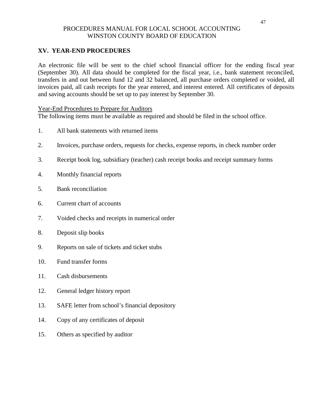# **XV. YEAR-END PROCEDURES**

An electronic file will be sent to the chief school financial officer for the ending fiscal year (September 30). All data should be completed for the fiscal year, i.e., bank statement reconciled, transfers in and out between fund 12 and 32 balanced, all purchase orders completed or voided, all invoices paid, all cash receipts for the year entered, and interest entered. All certificates of deposits and saving accounts should be set up to pay interest by September 30.

# Year-End Procedures to Prepare for Auditors

The following items must be available as required and should be filed in the school office.

- 1. All bank statements with returned items
- 2. Invoices, purchase orders, requests for checks, expense reports, in check number order
- 3. Receipt book log, subsidiary (teacher) cash receipt books and receipt summary forms
- 4. Monthly financial reports
- 5. Bank reconciliation
- 6. Current chart of accounts
- 7. Voided checks and receipts in numerical order
- 8. Deposit slip books
- 9. Reports on sale of tickets and ticket stubs
- 10. Fund transfer forms
- 11. Cash disbursements
- 12. General ledger history report
- 13. SAFE letter from school's financial depository
- 14. Copy of any certificates of deposit
- 15. Others as specified by auditor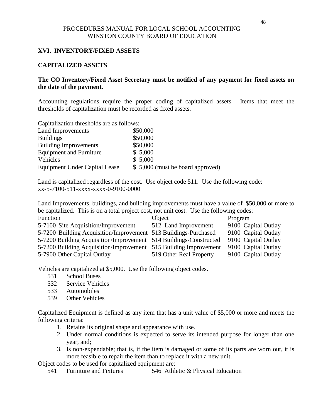# **XVI. INVENTORY/FIXED ASSETS**

## **CAPITALIZED ASSETS**

# **The CO Inventory/Fixed Asset Secretary must be notified of any payment for fixed assets on the date of the payment.**

Accounting regulations require the proper coding of capitalized assets. Items that meet the thresholds of capitalization must be recorded as fixed assets.

| Capitalization thresholds are as follows: |                                  |
|-------------------------------------------|----------------------------------|
| Land Improvements                         | \$50,000                         |
| <b>Buildings</b>                          | \$50,000                         |
| <b>Building Improvements</b>              | \$50,000                         |
| <b>Equipment and Furniture</b>            | \$5,000                          |
| Vehicles                                  | \$5,000                          |
| <b>Equipment Under Capital Lease</b>      | \$5,000 (must be board approved) |

Land is capitalized regardless of the cost. Use object code 511. Use the following code: xx-5-7100-511-xxxx-xxxx-0-9100-0000

Land Improvements, buildings, and building improvements must have a value of \$50,000 or more to be capitalized. This is on a total project cost, not unit cost. Use the following codes:

| Function                                                          | Object                  | Program             |
|-------------------------------------------------------------------|-------------------------|---------------------|
| 5-7100 Site Acquisition/Improvement                               | 512 Land Improvement    | 9100 Capital Outlay |
| 5-7200 Building Acquisition/Improvement 513 Buildings-Purchased   |                         | 9100 Capital Outlay |
| 5-7200 Building Acquisition/Improvement 514 Buildings-Constructed |                         | 9100 Capital Outlay |
| 5-7200 Building Acquisition/Improvement 515 Building Improvement  |                         | 9100 Capital Outlay |
| 5-7900 Other Capital Outlay                                       | 519 Other Real Property | 9100 Capital Outlay |

Vehicles are capitalized at \$5,000. Use the following object codes.

- 531 School Buses
- 532 Service Vehicles
- 533 Automobiles
- 539 Other Vehicles

Capitalized Equipment is defined as any item that has a unit value of \$5,000 or more and meets the following criteria:

- 1. Retains its original shape and appearance with use.
- 2. Under normal conditions is expected to serve its intended purpose for longer than one year, and;
- 3. Is non-expendable; that is, if the item is damaged or some of its parts are worn out, it is more feasible to repair the item than to replace it with a new unit.

Object codes to be used for capitalized equipment are:

541 Furniture and Fixtures 546 Athletic & Physical Education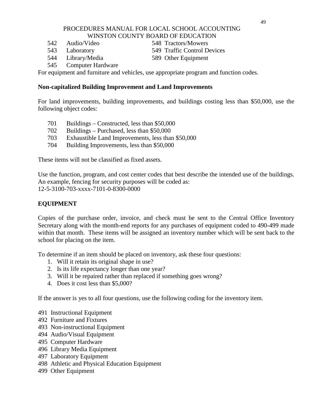- 
- 

542 Audio/Video 548 Tractors/Mowers

- 543 Laboratory 549 Traffic Control Devices
- 544 Library/Media 589 Other Equipment
- 
- 545 Computer Hardware

For equipment and furniture and vehicles, use appropriate program and function codes.

# **Non-capitalized Building Improvement and Land Improvements**

For land improvements, building improvements, and buildings costing less than \$50,000, use the following object codes:

- 701 Buildings Constructed, less than \$50,000
- 702 Buildings Purchased, less than \$50,000
- 703 Exhaustible Land Improvements, less than \$50,000
- 704 Building Improvements, less than \$50,000

These items will not be classified as fixed assets.

Use the function, program, and cost center codes that best describe the intended use of the buildings. An example, fencing for security purposes will be coded as: 12-5-3100-703-xxxx-7101-0-8300-0000

# **EQUIPMENT**

Copies of the purchase order, invoice, and check must be sent to the Central Office Inventory Secretary along with the month-end reports for any purchases of equipment coded to 490-499 made within that month. These items will be assigned an inventory number which will be sent back to the school for placing on the item.

To determine if an item should be placed on inventory, ask these four questions:

- 1. Will it retain its original shape in use?
- 2. Is its life expectancy longer than one year?
- 3. Will it be repaired rather than replaced if something goes wrong?
- 4. Does it cost less than \$5,000?

If the answer is yes to all four questions, use the following coding for the inventory item.

- 491 Instructional Equipment
- 492 Furniture and Fixtures
- 493 Non-instructional Equipment
- 494 Audio/Visual Equipment
- 495 Computer Hardware
- 496 Library Media Equipment
- 497 Laboratory Equipment
- 498 Athletic and Physical Education Equipment
- 499 Other Equipment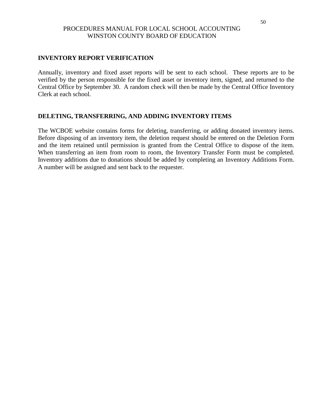# **INVENTORY REPORT VERIFICATION**

Annually, inventory and fixed asset reports will be sent to each school. These reports are to be verified by the person responsible for the fixed asset or inventory item, signed, and returned to the Central Office by September 30. A random check will then be made by the Central Office Inventory Clerk at each school.

#### **DELETING, TRANSFERRING, AND ADDING INVENTORY ITEMS**

The WCBOE website contains forms for deleting, transferring, or adding donated inventory items. Before disposing of an inventory item, the deletion request should be entered on the Deletion Form and the item retained until permission is granted from the Central Office to dispose of the item. When transferring an item from room to room, the Inventory Transfer Form must be completed. Inventory additions due to donations should be added by completing an Inventory Additions Form. A number will be assigned and sent back to the requester.